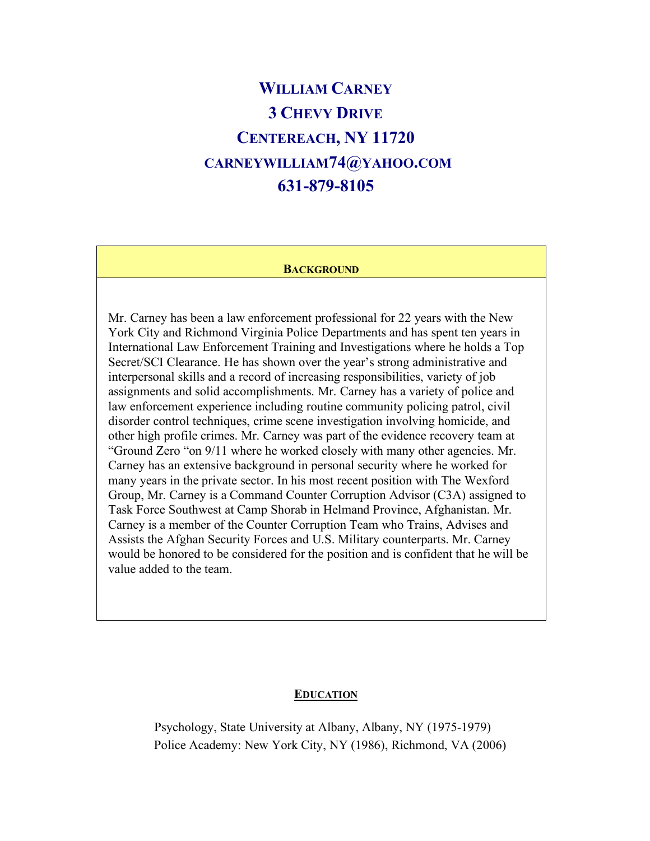# **WILLIAM CARNEY 3 CHEVY DRIVE CENTEREACH, NY 11720 CARNEYWILLIAM74@YAHOO.COM 631-879-8105**

#### **BACKGROUND**

Mr. Carney has been a law enforcement professional for 22 years with the New York City and Richmond Virginia Police Departments and has spent ten years in International Law Enforcement Training and Investigations where he holds a Top Secret/SCI Clearance. He has shown over the year's strong administrative and interpersonal skills and a record of increasing responsibilities, variety of job assignments and solid accomplishments. Mr. Carney has a variety of police and law enforcement experience including routine community policing patrol, civil disorder control techniques, crime scene investigation involving homicide, and other high profile crimes. Mr. Carney was part of the evidence recovery team at "Ground Zero "on 9/11 where he worked closely with many other agencies. Mr. Carney has an extensive background in personal security where he worked for many years in the private sector. In his most recent position with The Wexford Group, Mr. Carney is a Command Counter Corruption Advisor (C3A) assigned to Task Force Southwest at Camp Shorab in Helmand Province, Afghanistan. Mr. Carney is a member of the Counter Corruption Team who Trains, Advises and Assists the Afghan Security Forces and U.S. Military counterparts. Mr. Carney would be honored to be considered for the position and is confident that he will be value added to the team.

#### **EDUCATION**

 Psychology, State University at Albany, Albany, NY (1975-1979) Police Academy: New York City, NY (1986), Richmond, VA (2006)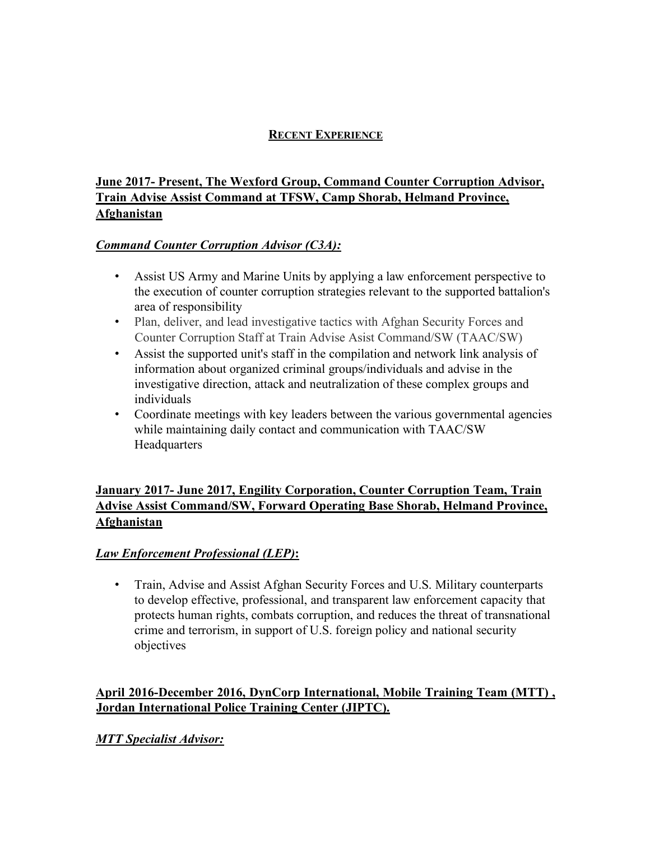#### **RECENT EXPERIENCE**

## **June 2017- Present, The Wexford Group, Command Counter Corruption Advisor, Train Advise Assist Command at TFSW, Camp Shorab, Helmand Province, Afghanistan**

#### *Command Counter Corruption Advisor (C3A):*

- Assist US Army and Marine Units by applying a law enforcement perspective to the execution of counter corruption strategies relevant to the supported battalion's area of responsibility
- Plan, deliver, and lead investigative tactics with Afghan Security Forces and Counter Corruption Staff at Train Advise Asist Command/SW (TAAC/SW)
- Assist the supported unit's staff in the compilation and network link analysis of information about organized criminal groups/individuals and advise in the investigative direction, attack and neutralization of these complex groups and individuals
- Coordinate meetings with key leaders between the various governmental agencies while maintaining daily contact and communication with TAAC/SW **Headquarters**

#### **January 2017- June 2017, Engility Corporation, Counter Corruption Team, Train Advise Assist Command/SW, Forward Operating Base Shorab, Helmand Province, Afghanistan**

## *Law Enforcement Professional (LEP)***:**

• Train, Advise and Assist Afghan Security Forces and U.S. Military counterparts to develop effective, professional, and transparent law enforcement capacity that protects human rights, combats corruption, and reduces the threat of transnational crime and terrorism, in support of U.S. foreign policy and national security objectives

#### **April 2016-December 2016, DynCorp International, Mobile Training Team (MTT) , Jordan International Police Training Center (JIPTC).**

## *MTT Specialist Advisor:*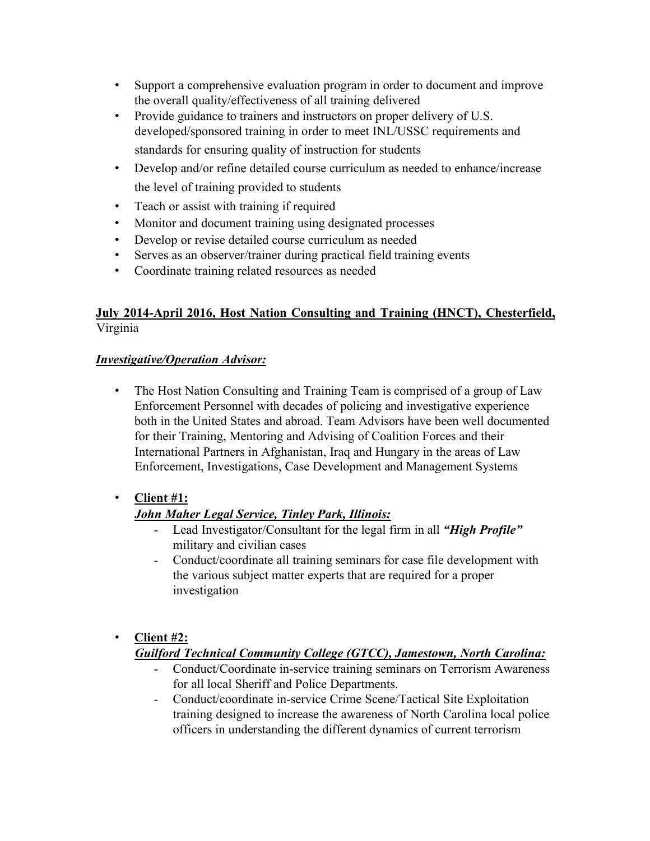- Support a comprehensive evaluation program in order to document and improve the overall quality/effectiveness of all training delivered
- Provide guidance to trainers and instructors on proper delivery of U.S. developed/sponsored training in order to meet INL/USSC requirements and standards for ensuring quality of instruction for students
- Develop and/or refine detailed course curriculum as needed to enhance/increase the level of training provided to students
- Teach or assist with training if required
- Monitor and document training using designated processes
- Develop or revise detailed course curriculum as needed
- Serves as an observer/trainer during practical field training events
- Coordinate training related resources as needed

## **July 2014-April 2016, Host Nation Consulting and Training (HNCT), Chesterfield,** Virginia

#### *Investigative/Operation Advisor:*

• The Host Nation Consulting and Training Team is comprised of a group of Law Enforcement Personnel with decades of policing and investigative experience both in the United States and abroad. Team Advisors have been well documented for their Training, Mentoring and Advising of Coalition Forces and their International Partners in Afghanistan, Iraq and Hungary in the areas of Law Enforcement, Investigations, Case Development and Management Systems

## • **Client #1:**

# *John Maher Legal Service, Tinley Park, Illinois:*

- Lead Investigator/Consultant for the legal firm in all *"High Profile"*  military and civilian cases
- Conduct/coordinate all training seminars for case file development with the various subject matter experts that are required for a proper investigation
- **Client #2:**

## *Guilford Technical Community College (GTCC), Jamestown, North Carolina:*

- Conduct/Coordinate in-service training seminars on Terrorism Awareness for all local Sheriff and Police Departments.
- Conduct/coordinate in-service Crime Scene/Tactical Site Exploitation training designed to increase the awareness of North Carolina local police officers in understanding the different dynamics of current terrorism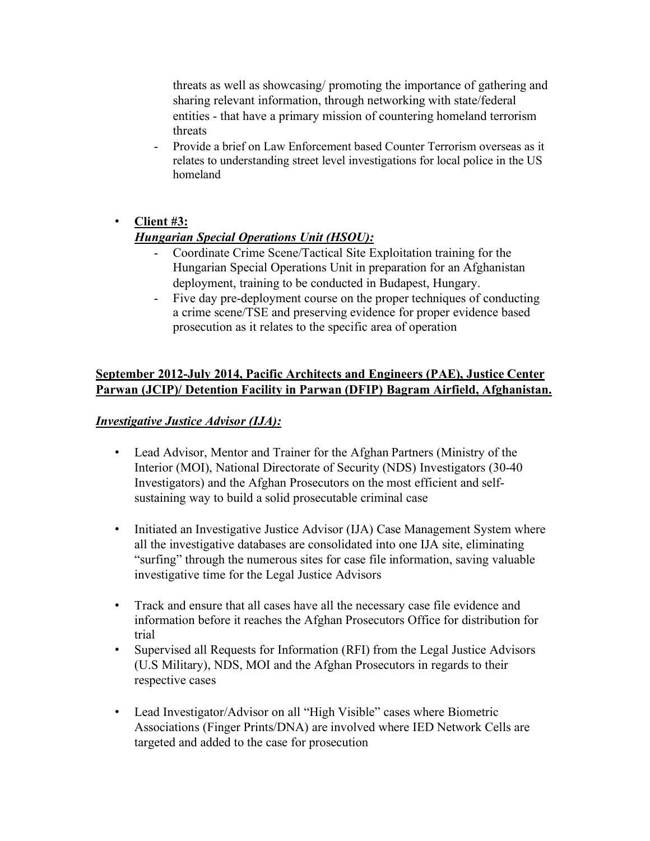threats as well as showcasing/ promoting the importance of gathering and sharing relevant information, through networking with state/federal entities - that have a primary mission of countering homeland terrorism threats

Provide a brief on Law Enforcement based Counter Terrorism overseas as it relates to understanding street level investigations for local police in the US homeland

#### • **Client #3:**

#### *Hungarian Special Operations Unit (HSOU):*

- Coordinate Crime Scene/Tactical Site Exploitation training for the Hungarian Special Operations Unit in preparation for an Afghanistan deployment, training to be conducted in Budapest, Hungary.
- Five day pre-deployment course on the proper techniques of conducting a crime scene/TSE and preserving evidence for proper evidence based prosecution as it relates to the specific area of operation

#### **September 2012-July 2014, Pacific Architects and Engineers (PAE), Justice Center Parwan (JCIP)/ Detention Facility in Parwan (DFIP) Bagram Airfield, Afghanistan.**

#### *Investigative Justice Advisor (IJA):*

- Lead Advisor, Mentor and Trainer for the Afghan Partners (Ministry of the Interior (MOI), National Directorate of Security (NDS) Investigators (30-40 Investigators) and the Afghan Prosecutors on the most efficient and selfsustaining way to build a solid prosecutable criminal case
- Initiated an Investigative Justice Advisor (IJA) Case Management System where all the investigative databases are consolidated into one IJA site, eliminating "surfing" through the numerous sites for case file information, saving valuable investigative time for the Legal Justice Advisors
- Track and ensure that all cases have all the necessary case file evidence and information before it reaches the Afghan Prosecutors Office for distribution for trial
- Supervised all Requests for Information (RFI) from the Legal Justice Advisors (U.S Military), NDS, MOI and the Afghan Prosecutors in regards to their respective cases
- Lead Investigator/Advisor on all "High Visible" cases where Biometric Associations (Finger Prints/DNA) are involved where IED Network Cells are targeted and added to the case for prosecution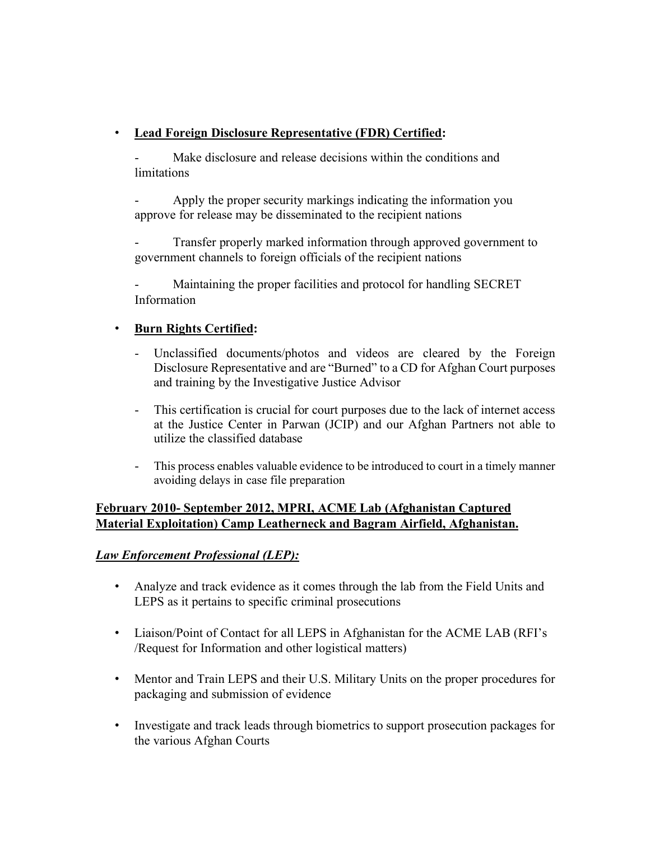## • **Lead Foreign Disclosure Representative (FDR) Certified:**

Make disclosure and release decisions within the conditions and **limitations** 

Apply the proper security markings indicating the information you approve for release may be disseminated to the recipient nations

Transfer properly marked information through approved government to government channels to foreign officials of the recipient nations

Maintaining the proper facilities and protocol for handling SECRET Information

## • **Burn Rights Certified:**

- Unclassified documents/photos and videos are cleared by the Foreign Disclosure Representative and are "Burned" to a CD for Afghan Court purposes and training by the Investigative Justice Advisor
- This certification is crucial for court purposes due to the lack of internet access at the Justice Center in Parwan (JCIP) and our Afghan Partners not able to utilize the classified database
- This process enables valuable evidence to be introduced to court in a timely manner avoiding delays in case file preparation

#### **February 2010- September 2012, MPRI, ACME Lab (Afghanistan Captured Material Exploitation) Camp Leatherneck and Bagram Airfield, Afghanistan.**

## *Law Enforcement Professional (LEP):*

- Analyze and track evidence as it comes through the lab from the Field Units and LEPS as it pertains to specific criminal prosecutions
- Liaison/Point of Contact for all LEPS in Afghanistan for the ACME LAB (RFI's /Request for Information and other logistical matters)
- Mentor and Train LEPS and their U.S. Military Units on the proper procedures for packaging and submission of evidence
- Investigate and track leads through biometrics to support prosecution packages for the various Afghan Courts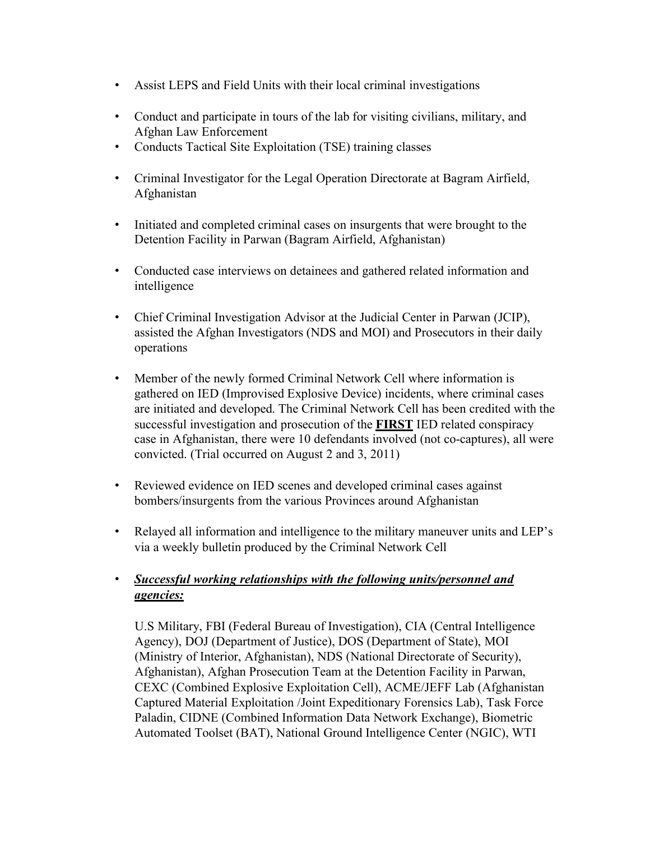- Assist LEPS and Field Units with their local criminal investigations
- Conduct and participate in tours of the lab for visiting civilians, military, and Afghan Law Enforcement
- Conducts Tactical Site Exploitation (TSE) training classes
- Criminal Investigator for the Legal Operation Directorate at Bagram Airfield, Afghanistan
- Initiated and completed criminal cases on insurgents that were brought to the Detention Facility in Parwan (Bagram Airfield, Afghanistan)
- Conducted case interviews on detainees and gathered related information and intelligence
- Chief Criminal Investigation Advisor at the Judicial Center in Parwan (JCIP), assisted the Afghan Investigators (NDS and MOI) and Prosecutors in their daily operations
- Member of the newly formed Criminal Network Cell where information is gathered on IED (Improvised Explosive Device) incidents, where criminal cases are initiated and developed. The Criminal Network Cell has been credited with the successful investigation and prosecution of the **FIRST** IED related conspiracy case in Afghanistan, there were 10 defendants involved (not co-captures), all were convicted. (Trial occurred on August 2 and 3, 2011)
- Reviewed evidence on IED scenes and developed criminal cases against bombers/insurgents from the various Provinces around Afghanistan
- Relayed all information and intelligence to the military maneuver units and LEP's via a weekly bulletin produced by the Criminal Network Cell

## • *Successful working relationships with the following units/personnel and agencies:*

U.S Military, FBI (Federal Bureau of Investigation), CIA (Central Intelligence Agency), DOJ (Department of Justice), DOS (Department of State), MOI (Ministry of Interior, Afghanistan), NDS (National Directorate of Security), Afghanistan), Afghan Prosecution Team at the Detention Facility in Parwan, CEXC (Combined Explosive Exploitation Cell), ACME/JEFF Lab (Afghanistan Captured Material Exploitation /Joint Expeditionary Forensics Lab), Task Force Paladin, CIDNE (Combined Information Data Network Exchange), Biometric Automated Toolset (BAT), National Ground Intelligence Center (NGIC), WTI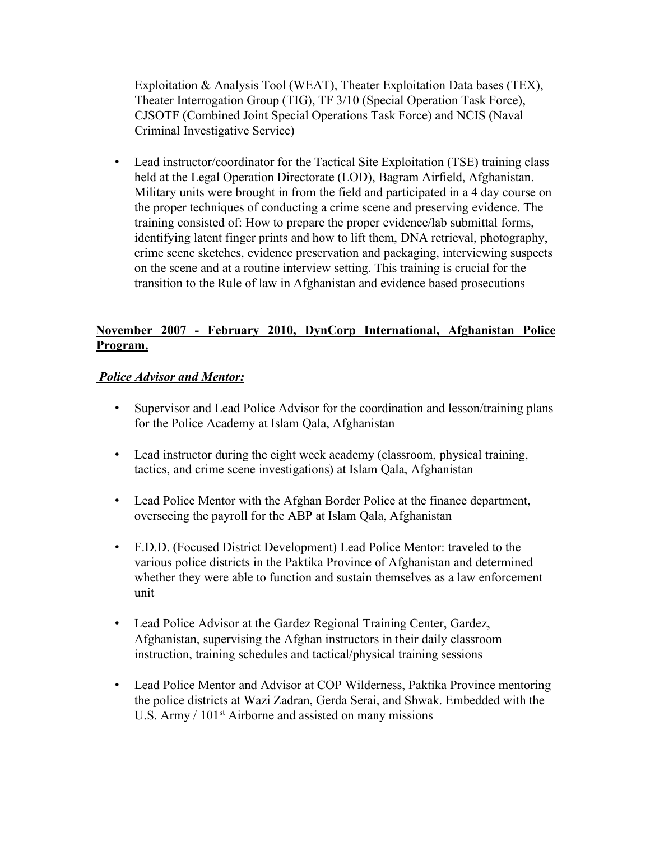Exploitation & Analysis Tool (WEAT), Theater Exploitation Data bases (TEX), Theater Interrogation Group (TIG), TF 3/10 (Special Operation Task Force), CJSOTF (Combined Joint Special Operations Task Force) and NCIS (Naval Criminal Investigative Service)

• Lead instructor/coordinator for the Tactical Site Exploitation (TSE) training class held at the Legal Operation Directorate (LOD), Bagram Airfield, Afghanistan. Military units were brought in from the field and participated in a 4 day course on the proper techniques of conducting a crime scene and preserving evidence. The training consisted of: How to prepare the proper evidence/lab submittal forms, identifying latent finger prints and how to lift them, DNA retrieval, photography, crime scene sketches, evidence preservation and packaging, interviewing suspects on the scene and at a routine interview setting. This training is crucial for the transition to the Rule of law in Afghanistan and evidence based prosecutions

#### **November 2007 - February 2010, DynCorp International, Afghanistan Police Program.**

#### *Police Advisor and Mentor:*

- Supervisor and Lead Police Advisor for the coordination and lesson/training plans for the Police Academy at Islam Qala, Afghanistan
- Lead instructor during the eight week academy (classroom, physical training, tactics, and crime scene investigations) at Islam Qala, Afghanistan
- Lead Police Mentor with the Afghan Border Police at the finance department, overseeing the payroll for the ABP at Islam Qala, Afghanistan
- F.D.D. (Focused District Development) Lead Police Mentor: traveled to the various police districts in the Paktika Province of Afghanistan and determined whether they were able to function and sustain themselves as a law enforcement unit
- Lead Police Advisor at the Gardez Regional Training Center, Gardez, Afghanistan, supervising the Afghan instructors in their daily classroom instruction, training schedules and tactical/physical training sessions
- Lead Police Mentor and Advisor at COP Wilderness, Paktika Province mentoring the police districts at Wazi Zadran, Gerda Serai, and Shwak. Embedded with the U.S. Army / 101<sup>st</sup> Airborne and assisted on many missions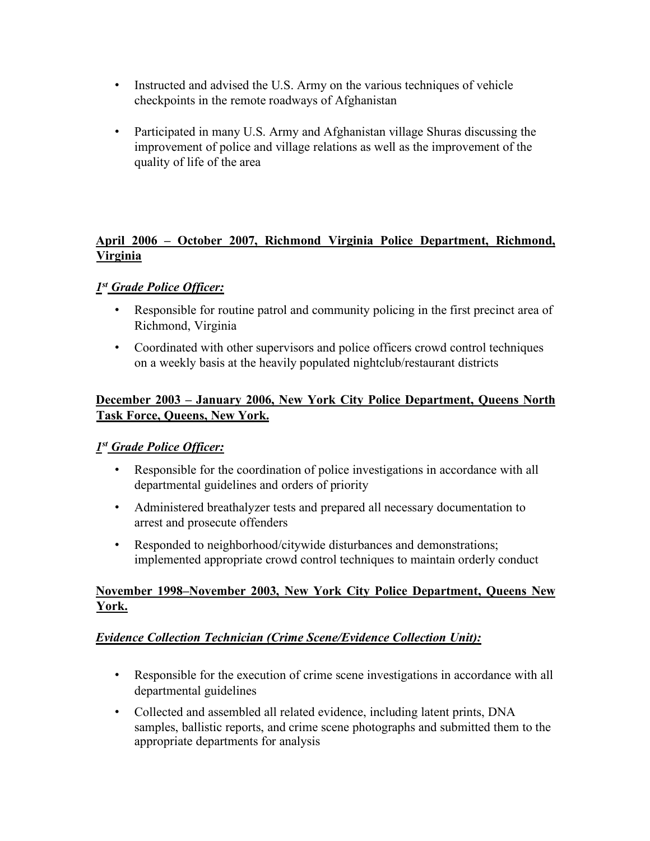- Instructed and advised the U.S. Army on the various techniques of vehicle checkpoints in the remote roadways of Afghanistan
- Participated in many U.S. Army and Afghanistan village Shuras discussing the improvement of police and village relations as well as the improvement of the quality of life of the area

#### **April 2006 – October 2007, Richmond Virginia Police Department, Richmond, Virginia**

#### *1st Grade Police Officer:*

- Responsible for routine patrol and community policing in the first precinct area of Richmond, Virginia
- Coordinated with other supervisors and police officers crowd control techniques on a weekly basis at the heavily populated nightclub/restaurant districts

#### **December 2003 – January 2006, New York City Police Department, Queens North Task Force, Queens, New York.**

#### *1st Grade Police Officer:*

- Responsible for the coordination of police investigations in accordance with all departmental guidelines and orders of priority
- Administered breathalyzer tests and prepared all necessary documentation to arrest and prosecute offenders
- Responded to neighborhood/citywide disturbances and demonstrations; implemented appropriate crowd control techniques to maintain orderly conduct

#### **November 1998–November 2003, New York City Police Department, Queens New York.**

#### *Evidence Collection Technician (Crime Scene/Evidence Collection Unit):*

- Responsible for the execution of crime scene investigations in accordance with all departmental guidelines
- Collected and assembled all related evidence, including latent prints, DNA samples, ballistic reports, and crime scene photographs and submitted them to the appropriate departments for analysis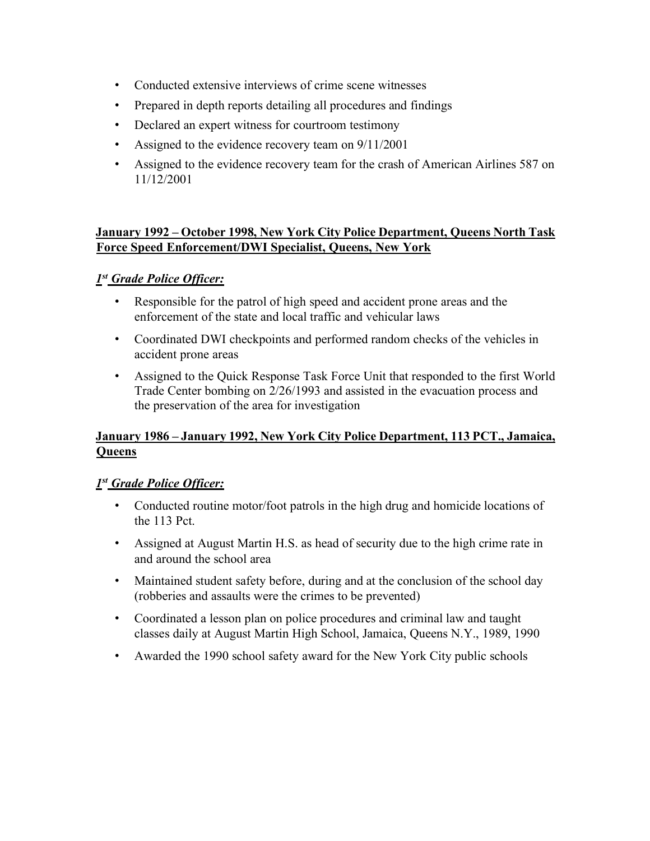- Conducted extensive interviews of crime scene witnesses
- Prepared in depth reports detailing all procedures and findings
- Declared an expert witness for courtroom testimony
- Assigned to the evidence recovery team on  $9/11/2001$
- Assigned to the evidence recovery team for the crash of American Airlines 587 on 11/12/2001

#### **January 1992 – October 1998, New York City Police Department, Queens North Task Force Speed Enforcement/DWI Specialist, Queens, New York**

#### *1st Grade Police Officer:*

- Responsible for the patrol of high speed and accident prone areas and the enforcement of the state and local traffic and vehicular laws
- Coordinated DWI checkpoints and performed random checks of the vehicles in accident prone areas
- Assigned to the Quick Response Task Force Unit that responded to the first World Trade Center bombing on 2/26/1993 and assisted in the evacuation process and the preservation of the area for investigation

## **January 1986 – January 1992, New York City Police Department, 113 PCT., Jamaica, Queens**

#### *1st Grade Police Officer:*

- Conducted routine motor/foot patrols in the high drug and homicide locations of the 113 Pct.
- Assigned at August Martin H.S. as head of security due to the high crime rate in and around the school area
- Maintained student safety before, during and at the conclusion of the school day (robberies and assaults were the crimes to be prevented)
- Coordinated a lesson plan on police procedures and criminal law and taught classes daily at August Martin High School, Jamaica, Queens N.Y., 1989, 1990
- Awarded the 1990 school safety award for the New York City public schools